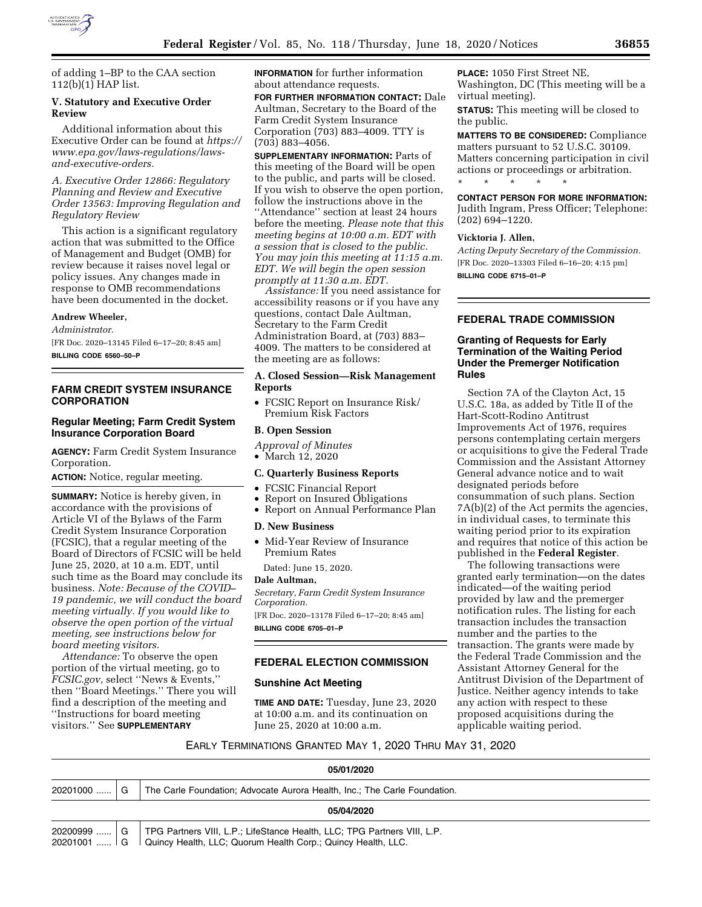

of adding 1–BP to the CAA section 112(b)(1) HAP list.

# **V. Statutory and Executive Order Review**

Additional information about this Executive Order can be found at *[https://](https://www.epa.gov/laws-regulations/laws-and-executive-orders)  [www.epa.gov/laws-regulations/laws](https://www.epa.gov/laws-regulations/laws-and-executive-orders)[and-executive-orders.](https://www.epa.gov/laws-regulations/laws-and-executive-orders)* 

# *A. Executive Order 12866: Regulatory Planning and Review and Executive Order 13563: Improving Regulation and Regulatory Review*

This action is a significant regulatory action that was submitted to the Office of Management and Budget (OMB) for review because it raises novel legal or policy issues. Any changes made in response to OMB recommendations have been documented in the docket.

#### **Andrew Wheeler,**

*Administrator.*  [FR Doc. 2020–13145 Filed 6–17–20; 8:45 am]

**BILLING CODE 6560–50–P** 

### **FARM CREDIT SYSTEM INSURANCE CORPORATION**

# **Regular Meeting; Farm Credit System Insurance Corporation Board**

**AGENCY:** Farm Credit System Insurance Corporation.

**ACTION:** Notice, regular meeting.

**SUMMARY:** Notice is hereby given, in accordance with the provisions of Article VI of the Bylaws of the Farm Credit System Insurance Corporation (FCSIC), that a regular meeting of the Board of Directors of FCSIC will be held June 25, 2020, at 10 a.m. EDT, until such time as the Board may conclude its business. *Note: Because of the COVID– 19 pandemic, we will conduct the board meeting virtually. If you would like to observe the open portion of the virtual meeting, see instructions below for board meeting visitors.* 

*Attendance:* To observe the open portion of the virtual meeting, go to *FCSIC.gov,* select ''News & Events,'' then ''Board Meetings.'' There you will find a description of the meeting and ''Instructions for board meeting visitors.'' See **SUPPLEMENTARY**

**INFORMATION** for further information about attendance requests.

**FOR FURTHER INFORMATION CONTACT:** Dale Aultman, Secretary to the Board of the Farm Credit System Insurance Corporation (703) 883–4009. TTY is (703) 883–4056.

**SUPPLEMENTARY INFORMATION:** Parts of this meeting of the Board will be open to the public, and parts will be closed. If you wish to observe the open portion, follow the instructions above in the ''Attendance'' section at least 24 hours before the meeting. *Please note that this meeting begins at 10:00 a.m. EDT with a session that is closed to the public. You may join this meeting at 11:15 a.m. EDT. We will begin the open session promptly at 11:30 a.m. EDT.* 

*Assistance:* If you need assistance for accessibility reasons or if you have any questions, contact Dale Aultman, Secretary to the Farm Credit Administration Board, at (703) 883– 4009. The matters to be considered at the meeting are as follows:

## **A. Closed Session—Risk Management Reports**

• FCSIC Report on Insurance Risk/ Premium Risk Factors

# **B. Open Session**

*Approval of Minutes* 

• March 12, 2020

#### **C. Quarterly Business Reports**

- FCSIC Financial Report
- Report on Insured Obligations
- Report on Annual Performance Plan

#### **D. New Business**

- Mid-Year Review of Insurance Premium Rates
	- Dated: June 15, 2020.

# **Dale Aultman,**

*Secretary, Farm Credit System Insurance Corporation.* 

[FR Doc. 2020–13178 Filed 6–17–20; 8:45 am] **BILLING CODE 6705–01–P** 

# **FEDERAL ELECTION COMMISSION**

#### **Sunshine Act Meeting**

**TIME AND DATE:** Tuesday, June 23, 2020 at 10:00 a.m. and its continuation on June 25, 2020 at 10:00 a.m.

**PLACE:** 1050 First Street NE, Washington, DC (This meeting will be a virtual meeting).

**STATUS:** This meeting will be closed to the public.

**MATTERS TO BE CONSIDERED:** Compliance matters pursuant to 52 U.S.C. 30109. Matters concerning participation in civil actions or proceedings or arbitration. \* \* \* \* \*

**CONTACT PERSON FOR MORE INFORMATION:**  Judith Ingram, Press Officer; Telephone: (202) 694–1220.

#### **Vicktoria J. Allen,**

*Acting Deputy Secretary of the Commission.*  [FR Doc. 2020–13303 Filed 6–16–20; 4:15 pm] **BILLING CODE 6715–01–P** 

# **FEDERAL TRADE COMMISSION**

# **Granting of Requests for Early Termination of the Waiting Period Under the Premerger Notification Rules**

Section 7A of the Clayton Act, 15 U.S.C. 18a, as added by Title II of the Hart-Scott-Rodino Antitrust Improvements Act of 1976, requires persons contemplating certain mergers or acquisitions to give the Federal Trade Commission and the Assistant Attorney General advance notice and to wait designated periods before consummation of such plans. Section 7A(b)(2) of the Act permits the agencies, in individual cases, to terminate this waiting period prior to its expiration and requires that notice of this action be published in the **Federal Register**.

The following transactions were granted early termination—on the dates indicated—of the waiting period provided by law and the premerger notification rules. The listing for each transaction includes the transaction number and the parties to the transaction. The grants were made by the Federal Trade Commission and the Assistant Attorney General for the Antitrust Division of the Department of Justice. Neither agency intends to take any action with respect to these proposed acquisitions during the applicable waiting period.

EARLY TERMINATIONS GRANTED MAY 1, 2020 THRU MAY 31, 2020

| 05/01/2020                   |  |                                                                                                                                          |  |
|------------------------------|--|------------------------------------------------------------------------------------------------------------------------------------------|--|
| $20201000$   G               |  | The Carle Foundation; Advocate Aurora Health, Inc.; The Carle Foundation.                                                                |  |
| 05/04/2020                   |  |                                                                                                                                          |  |
| $20200999$ G<br>$20201001$ G |  | TPG Partners VIII, L.P.; LifeStance Health, LLC; TPG Partners VIII, L.P.<br>Quincy Health, LLC; Quorum Health Corp.; Quincy Health, LLC. |  |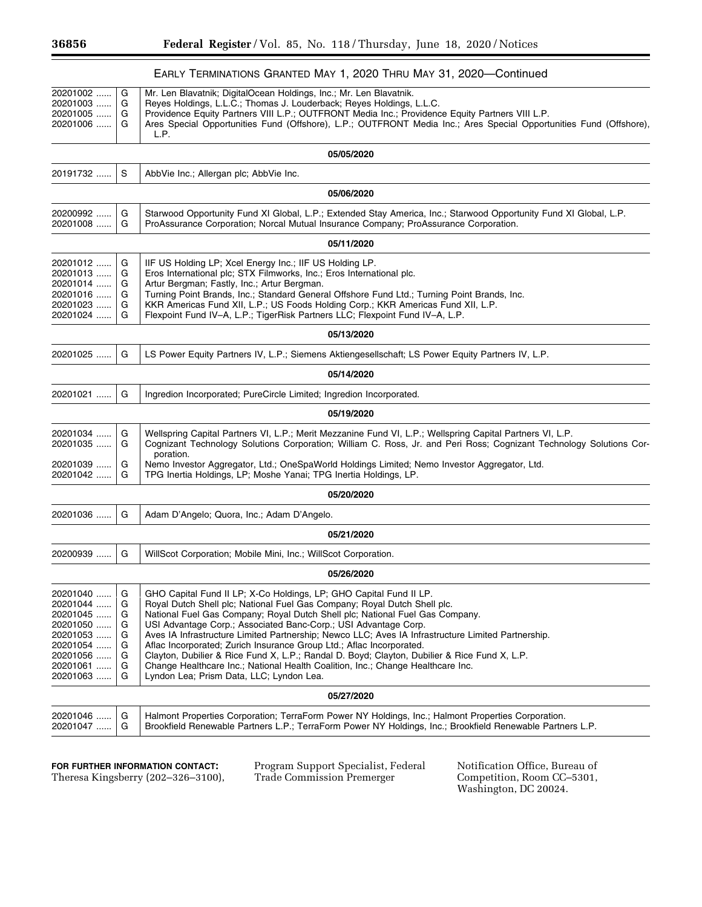п

|                                                                                                          |                                           | EARLY TERMINATIONS GRANTED MAY 1, 2020 THRU MAY 31, 2020-Continued                                                                                                                                                                                                                                                                                                                                                                                                                                                                                                                                                                                                                                             |
|----------------------------------------------------------------------------------------------------------|-------------------------------------------|----------------------------------------------------------------------------------------------------------------------------------------------------------------------------------------------------------------------------------------------------------------------------------------------------------------------------------------------------------------------------------------------------------------------------------------------------------------------------------------------------------------------------------------------------------------------------------------------------------------------------------------------------------------------------------------------------------------|
| 20201002<br>20201003<br>20201005<br>20201006                                                             | G<br>G<br>G<br>G                          | Mr. Len Blavatnik; DigitalOcean Holdings, Inc.; Mr. Len Blavatnik.<br>Reves Holdings, L.L.C.; Thomas J. Louderback; Reves Holdings, L.L.C.<br>Providence Equity Partners VIII L.P.; OUTFRONT Media Inc.; Providence Equity Partners VIII L.P.<br>Ares Special Opportunities Fund (Offshore), L.P.; OUTFRONT Media Inc.; Ares Special Opportunities Fund (Offshore),<br>L.P.                                                                                                                                                                                                                                                                                                                                    |
|                                                                                                          |                                           | 05/05/2020                                                                                                                                                                                                                                                                                                                                                                                                                                                                                                                                                                                                                                                                                                     |
| 20191732                                                                                                 | S                                         | AbbVie Inc.; Allergan plc; AbbVie Inc.                                                                                                                                                                                                                                                                                                                                                                                                                                                                                                                                                                                                                                                                         |
|                                                                                                          |                                           | 05/06/2020                                                                                                                                                                                                                                                                                                                                                                                                                                                                                                                                                                                                                                                                                                     |
| 20200992<br>20201008                                                                                     | G<br>G                                    | Starwood Opportunity Fund XI Global, L.P.; Extended Stay America, Inc.; Starwood Opportunity Fund XI Global, L.P.<br>ProAssurance Corporation; Norcal Mutual Insurance Company; ProAssurance Corporation.                                                                                                                                                                                                                                                                                                                                                                                                                                                                                                      |
|                                                                                                          |                                           | 05/11/2020                                                                                                                                                                                                                                                                                                                                                                                                                                                                                                                                                                                                                                                                                                     |
| 20201012<br>20201013<br>20201014<br>20201016<br>20201023<br>20201024                                     | G<br>G<br>G<br>G<br>G<br>G                | IIF US Holding LP; Xcel Energy Inc.; IIF US Holding LP.<br>Eros International plc; STX Filmworks, Inc.; Eros International plc.<br>Artur Bergman; Fastly, Inc.; Artur Bergman.<br>Turning Point Brands, Inc.; Standard General Offshore Fund Ltd.; Turning Point Brands, Inc.<br>KKR Americas Fund XII, L.P.; US Foods Holding Corp.; KKR Americas Fund XII, L.P.<br>Flexpoint Fund IV-A, L.P.; TigerRisk Partners LLC; Flexpoint Fund IV-A, L.P.                                                                                                                                                                                                                                                              |
|                                                                                                          |                                           | 05/13/2020                                                                                                                                                                                                                                                                                                                                                                                                                                                                                                                                                                                                                                                                                                     |
| 20201025                                                                                                 | G                                         | LS Power Equity Partners IV, L.P.; Siemens Aktiengesellschaft; LS Power Equity Partners IV, L.P.                                                                                                                                                                                                                                                                                                                                                                                                                                                                                                                                                                                                               |
|                                                                                                          |                                           | 05/14/2020                                                                                                                                                                                                                                                                                                                                                                                                                                                                                                                                                                                                                                                                                                     |
| 20201021                                                                                                 | G                                         | Ingredion Incorporated; PureCircle Limited; Ingredion Incorporated.                                                                                                                                                                                                                                                                                                                                                                                                                                                                                                                                                                                                                                            |
|                                                                                                          |                                           | 05/19/2020                                                                                                                                                                                                                                                                                                                                                                                                                                                                                                                                                                                                                                                                                                     |
| 20201034<br>20201035                                                                                     | G<br>G                                    | Wellspring Capital Partners VI, L.P.; Merit Mezzanine Fund VI, L.P.; Wellspring Capital Partners VI, L.P.<br>Cognizant Technology Solutions Corporation; William C. Ross, Jr. and Peri Ross; Cognizant Technology Solutions Cor-<br>poration.                                                                                                                                                                                                                                                                                                                                                                                                                                                                  |
| 20201039<br>20201042                                                                                     | G<br>G                                    | Nemo Investor Aggregator, Ltd.; OneSpaWorld Holdings Limited; Nemo Investor Aggregator, Ltd.<br>TPG Inertia Holdings, LP; Moshe Yanai; TPG Inertia Holdings, LP.                                                                                                                                                                                                                                                                                                                                                                                                                                                                                                                                               |
|                                                                                                          |                                           | 05/20/2020                                                                                                                                                                                                                                                                                                                                                                                                                                                                                                                                                                                                                                                                                                     |
| 20201036                                                                                                 | G                                         | Adam D'Angelo; Quora, Inc.; Adam D'Angelo.                                                                                                                                                                                                                                                                                                                                                                                                                                                                                                                                                                                                                                                                     |
|                                                                                                          |                                           | 05/21/2020                                                                                                                                                                                                                                                                                                                                                                                                                                                                                                                                                                                                                                                                                                     |
| 20200939                                                                                                 | G                                         | WillScot Corporation; Mobile Mini, Inc.; WillScot Corporation.                                                                                                                                                                                                                                                                                                                                                                                                                                                                                                                                                                                                                                                 |
|                                                                                                          |                                           | 05/26/2020                                                                                                                                                                                                                                                                                                                                                                                                                                                                                                                                                                                                                                                                                                     |
| 20201040<br>20201044<br>20201045<br>20201050<br>20201053<br>20201054<br>20201056<br>20201061<br>20201063 | G<br>G<br>G<br>G<br>G<br>G<br>G<br>G<br>G | GHO Capital Fund II LP; X-Co Holdings, LP; GHO Capital Fund II LP.<br>Royal Dutch Shell plc; National Fuel Gas Company; Royal Dutch Shell plc.<br>National Fuel Gas Company; Royal Dutch Shell plc; National Fuel Gas Company.<br>USI Advantage Corp.; Associated Banc-Corp.; USI Advantage Corp.<br>Aves IA Infrastructure Limited Partnership; Newco LLC; Aves IA Infrastructure Limited Partnership.<br>Aflac Incorporated; Zurich Insurance Group Ltd.; Aflac Incorporated.<br>Clayton, Dubilier & Rice Fund X, L.P.; Randal D. Boyd; Clayton, Dubilier & Rice Fund X, L.P.<br>Change Healthcare Inc.; National Health Coalition, Inc.; Change Healthcare Inc.<br>Lyndon Lea; Prism Data, LLC; Lyndon Lea. |
|                                                                                                          |                                           | 05/27/2020                                                                                                                                                                                                                                                                                                                                                                                                                                                                                                                                                                                                                                                                                                     |
| 20201046<br>20201047                                                                                     | G<br>G                                    | Halmont Properties Corporation; TerraForm Power NY Holdings, Inc.; Halmont Properties Corporation.<br>Brookfield Renewable Partners L.P.; TerraForm Power NY Holdings, Inc.; Brookfield Renewable Partners L.P.                                                                                                                                                                                                                                                                                                                                                                                                                                                                                                |

**FOR FURTHER INFORMATION CONTACT:**  Theresa Kingsberry (202–326–3100), Program Support Specialist, Federal Trade Commission Premerger

Notification Office, Bureau of Competition, Room CC–5301, Washington, DC 20024.